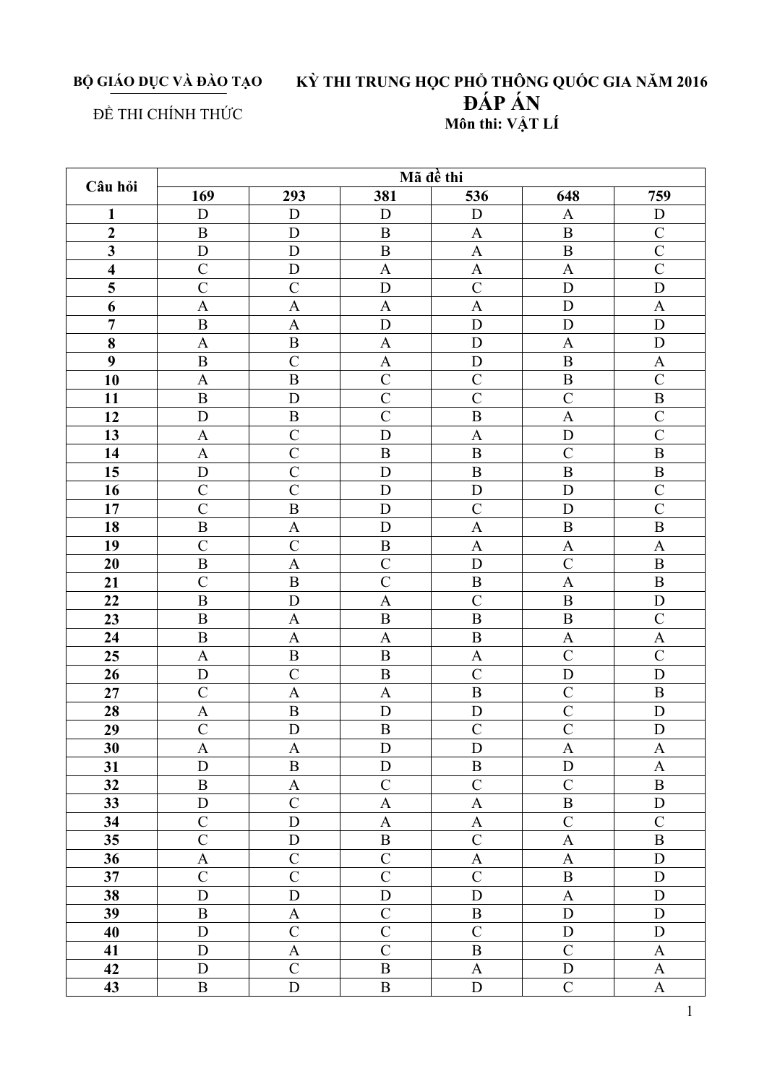## BỘ GIÁO DỤC VÀ ĐÀO TẠO KỪ THI TRUNG HỌC PHỔ THÔNG QUỐC GIA NĂM 2016 ĐÁP ÁN Môn thi: VÂT LÍ

## ĐỀ THI CHÍNH THỨC

Mã đề thi Câu hỏi  $169$ 293  $381$  $\overline{536}$  $\overline{648}$  $759$ D D  $\overline{D}$  $\mathbf{1}$ D  $\overline{D}$  $\overline{A}$  $\overline{2}$  $\overline{B}$  $\overline{D}$  $\overline{B}$  $\overline{A}$  $\overline{B}$  $\overline{C}$  $\overline{D}$  $\overline{D}$  $\overline{B}$  $\overline{A}$  $\overline{B}$  $\overline{C}$  $\mathbf{3}$  $\overline{C}$  $\overline{D}$  $\overline{\mathbf{A}}$  $\overline{A}$  $\overline{C}$  $\overline{\mathbf{4}}$  $\overline{A}$ 5  $\mathcal{C}$  $\mathcal{C}$ D  $\mathcal{C}$ D  $\mathbf D$ 6  $\mathbf{A}$  $\mathbf{A}$  $\overline{A}$  $\overline{A}$ D  $\mathbf{A}$  $\overline{7}$  $\overline{B}$  $\overline{A}$  $\mathbf D$  $\mathbf D$  $\overline{D}$  $\overline{D}$ 8  $\mathbf{A}$  $\bf{B}$  $\mathbf{A}$ D  $\mathbf{A}$  $\mathbf{D}$  $\overline{C}$  $\boldsymbol{q}$  $\overline{B}$  $\overline{A}$  $\overline{D}$  $\overline{B}$  $\mathsf{A}$ 10  $\overline{C}$  $\mathcal{C}$ B  $\overline{C}$  $\mathbf{A}$ B  $\mathcal{C}$  $\mathcal{C}$ 11  $\bf{B}$ D  $\mathcal{C}$  $\mathbf{B}$  $12$ D  $\overline{B}$  $\overline{C}$  $\overline{B}$  $\overline{A}$  $\overline{C}$ 13  $\mathbf{A}$  $\mathcal{C}$ D  $\overline{A}$ D  $\mathcal{C}$ 14  $\mathbf{A}$  $\mathcal{C}$  $\, {\bf B}$  $\mathbf B$  $\mathcal{C}$  $\bf{B}$  $\overline{15}$  $\overline{D}$  $\overline{C}$  $\overline{D}$  $\overline{B}$  $\overline{B}$  $\overline{B}$  $\overline{C}$  $\overline{C}$  $\overline{D}$  $\overline{C}$  $\overline{D}$  $\overline{D}$ 16  $\overline{C}$  $\overline{B}$ D  $\overline{C}$ D  $\overline{C}$ 17 18  $\overline{B}$  $\overline{A}$  $\overline{D}$  $\overline{A}$  $\overline{B}$  $\overline{B}$  $\overline{C}$  $\overline{B}$ 19  $\mathcal{C}$  $\mathbf{A}$  $\mathbf{A}$  $\mathbf{A}$ 20  $\mathcal{C}$  $\mathcal{C}$  $\mathbf{B}$  $\mathbf{A}$ D  $\bf{B}$ 21  $\mathcal{C}$ B  $\mathcal{C}$ B  $\overline{A}$ B  $22$  $\bf{B}$ D  $\mathcal{C}$  $\mathbf{B}$  $\overline{D}$  $\overline{A}$ 23  $\, {\bf B}$  $\mathbf{A}$  $\mathbf B$  $\, {\bf B}$  $\mathbf{B}$  $\mathbf{C}$ 24  $\, {\bf B}$  $\mathbf{A}$ A  $\, {\bf B}$  $\boldsymbol{\mathsf{A}}$  $\boldsymbol{\mathsf{A}}$  $\overline{25}$  $\overline{B}$  $\overline{C}$  $\overline{C}$  $\overline{A}$  $\overline{B}$  $\mathbf{A}$  $\overline{D}$  $\overline{C}$  $\overline{B}$  $\overline{C}$  $\overline{D}$  $\overline{D}$ 26  $\overline{C}$  $\overline{C}$  $27$  $\overline{A}$  $\overline{A}$  $\mathbf B$  $\bf{B}$ 28  $\overline{A}$  $\overline{B}$  $\mathbf D$  $\mathbf D$  $\overline{C}$ D  $\overline{29}$  $\overline{C}$  $\overline{D}$  $\overline{B}$  $\overline{C}$  $\overline{C}$  $\overline{D}$  $\overline{30}$  $\overline{D}$  $\mathbf{A}$  $\mathbf{A}$ D  $\mathbf{A}$  $\mathbf{A}$ 31  $\overline{D}$  $\overline{B}$  $\overline{D}$  $\overline{B}$  $\overline{D}$  $\mathbf{A}$  $\overline{B}$  $\overline{C}$  $\overline{C}$  $\overline{B}$  $\overline{C}$ 32  $\overline{A}$  $\overline{C}$ 33  $\mathbf D$  $\overline{A}$  $\overline{A}$  $\bf{B}$ D 34  $\mathcal{C}$  $\mathcal{C}$  $\mathcal{C}$  $\mathbf D$ A  $\mathbf{A}$ 35  $\mathcal{C}$ D  $\, {\bf B}$  $\mathcal{C}$  $\mathbf{A}$  $\mathbf{B}$  $\mathcal{C}$ 36  $\overline{C}$  $\overline{A}$  $\mathbf{D}$  $\mathbf{A}$  $\mathbf{A}$  $\overline{C}$  $\overline{C}$  $\overline{C}$  $\mathcal{C}$ 37 B D 38 D D D  $\overline{A}$ D D 39  $\overline{B}$  $\overline{C}$ D B D  $\mathbf{A}$  $\overline{40}$  $\overline{C}$  $\overline{C}$  $\overline{C}$ D D D 41 D  $\mathcal{C}$  $\overline{B}$  $\mathcal{C}$  $\mathbf{A}$  $\mathbf{A}$  $\overline{42}$ D  $\overline{C}$  $\overline{B}$ D  $\overline{A}$  $\mathbf{A}$  $\overline{43}$  $\overline{B}$ D  $\overline{B}$ D  $\mathcal{C}$  $\mathbf{A}$